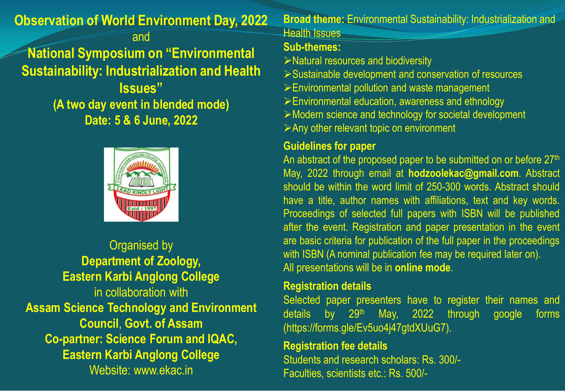# **Observation of World Environment Day, 2022**

# and **National Symposium on "Environmental Sustainability: Industrialization and Health Issues" (A two day event in blended mode) Date: 5 & 6 June, 2022**



Organised by **Department of Zoology, Eastern Karbi Anglong College** in collaboration with **Assam Science Technology and Environment Council**, **Govt. of Assam Co-partner: Science Forum and IQAC, Eastern Karbi Anglong College** Website: www.ekac.in

**Broad theme:** Environmental Sustainability: Industrialization and Health Issues

#### **Sub-themes:**

- $\triangleright$  Natural resources and biodiversity
- Sustainable development and conservation of resources
- Environmental pollution and waste management
- Environmental education, awareness and ethnology
- Modern science and technology for societal development
- Any other relevant topic on environment

# **Guidelines for paper**

An abstract of the proposed paper to be submitted on or before 27<sup>th</sup> May, 2022 through email at **hodzoolekac@gmail.com**. Abstract should be within the word limit of 250-300 words. Abstract should have a title, author names with affiliations, text and key words. Proceedings of selected full papers with ISBN will be published after the event. Registration and paper presentation in the event are basic criteria for publication of the full paper in the proceedings with ISBN (A nominal publication fee may be required later on). All presentations will be in **online mode**.

# **Registration details**

Selected paper presenters have to register their names and details by 29<sup>th</sup> May, 2022 through google forms (https://forms.gle/Ev5uo4j47gtdXUuG7).

#### **Registration fee details**

Students and research scholars: Rs. 300/- Faculties, scientists etc.: Rs. 500/-